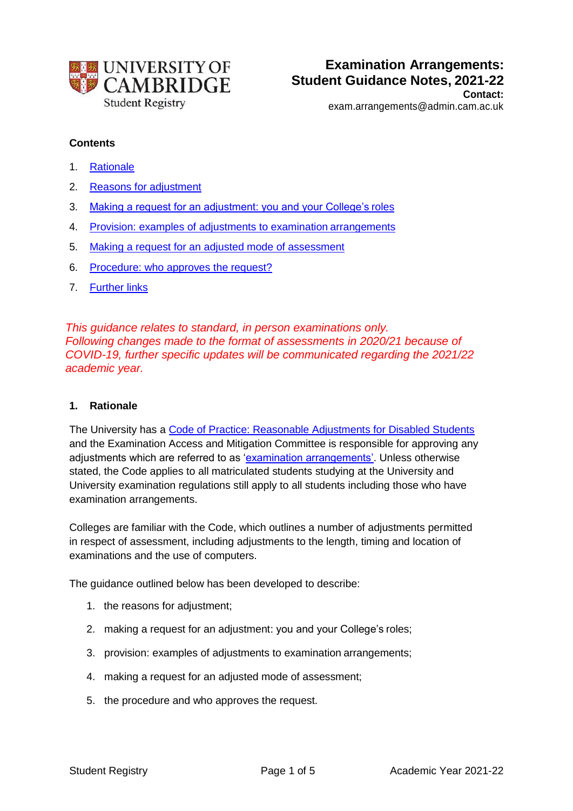

## **Contents**

- 1. Rationale
- 2. Reasons for adjustment
- 3. Making a request for an adjustment: you and your College's roles
- 4. Provision: examples of adjustments to examination arrangements
- 5. Making a request for an adjusted mode of assessment
- 6. Procedure: who approves the request?
- 7. Further links

*This guidance relates to standard, in person examinations only. Following changes made to the format of assessments in 2020/21 because of COVID-19, further specific updates will be communicated regarding the 2021/22 academic year.*

#### **1. Rationale**

The University has a [Code of Practice: Reasonable Adjustments for Disabled Students](https://www.educationalpolicy.admin.cam.ac.uk/supporting-students-learning-and-teaching) and the Examination Access and Mitigation Committee is responsible for approving any adjustments which are referred to as ['examination arrangements'.](https://www.student-registry.admin.cam.ac.uk/examinations-further-guidance-staff/colleges/examination-arrangements) Unless otherwise stated, the Code applies to all matriculated students studying at the University and University examination regulations still apply to all students including those who have examination arrangements.

Colleges are familiar with the Code, which outlines a number of adjustments permitted in respect of assessment, including adjustments to the length, timing and location of examinations and the use of computers.

The guidance outlined below has been developed to describe:

- 1. the reasons for adjustment;
- 2. making a request for an adjustment: you and your College's roles;
- 3. provision: examples of adjustments to examination arrangements;
- 4. making a request for an adjusted mode of assessment;
- 5. the procedure and who approves the request.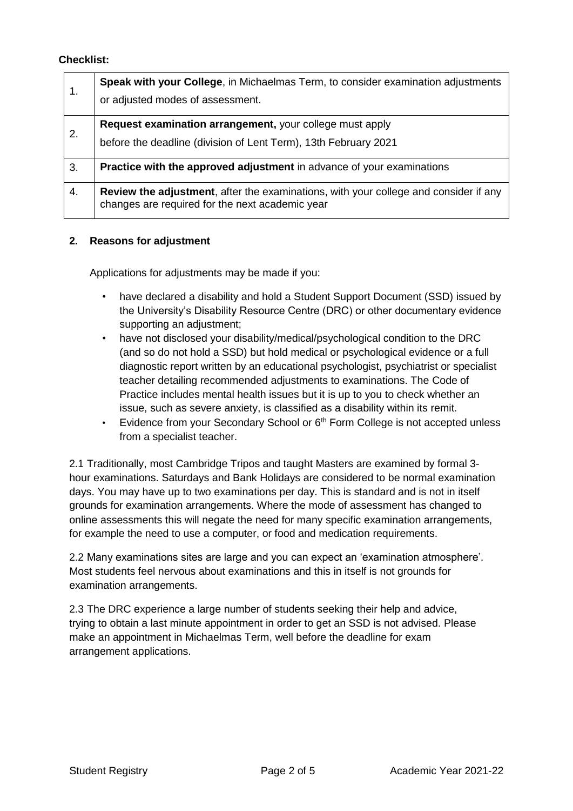#### **Checklist:**

| 1. | Speak with your College, in Michaelmas Term, to consider examination adjustments<br>or adjusted modes of assessment.                           |
|----|------------------------------------------------------------------------------------------------------------------------------------------------|
| 2. | Request examination arrangement, your college must apply<br>before the deadline (division of Lent Term), 13th February 2021                    |
| 3. | <b>Practice with the approved adjustment</b> in advance of your examinations                                                                   |
| 4. | <b>Review the adjustment, after the examinations, with your college and consider if any</b><br>changes are required for the next academic year |

#### **2. Reasons for adjustment**

Applications for adjustments may be made if you:

- have declared a disability and hold a Student Support Document (SSD) issued by the University's Disability Resource Centre (DRC) or other documentary evidence supporting an adjustment;
- have not disclosed your disability/medical/psychological condition to the DRC (and so do not hold a SSD) but hold medical or psychological evidence or a full diagnostic report written by an educational psychologist, psychiatrist or specialist teacher detailing recommended adjustments to examinations. The Code of Practice includes mental health issues but it is up to you to check whether an issue, such as severe anxiety, is classified as a disability within its remit.
- Evidence from your Secondary School or 6<sup>th</sup> Form College is not accepted unless from a specialist teacher.

2.1 Traditionally, most Cambridge Tripos and taught Masters are examined by formal 3 hour examinations. Saturdays and Bank Holidays are considered to be normal examination days. You may have up to two examinations per day. This is standard and is not in itself grounds for examination arrangements. Where the mode of assessment has changed to online assessments this will negate the need for many specific examination arrangements, for example the need to use a computer, or food and medication requirements.

2.2 Many examinations sites are large and you can expect an 'examination atmosphere'. Most students feel nervous about examinations and this in itself is not grounds for examination arrangements.

2.3 The DRC experience a large number of students seeking their help and advice, trying to obtain a last minute appointment in order to get an SSD is not advised. Please make an appointment in Michaelmas Term, well before the deadline for exam arrangement applications.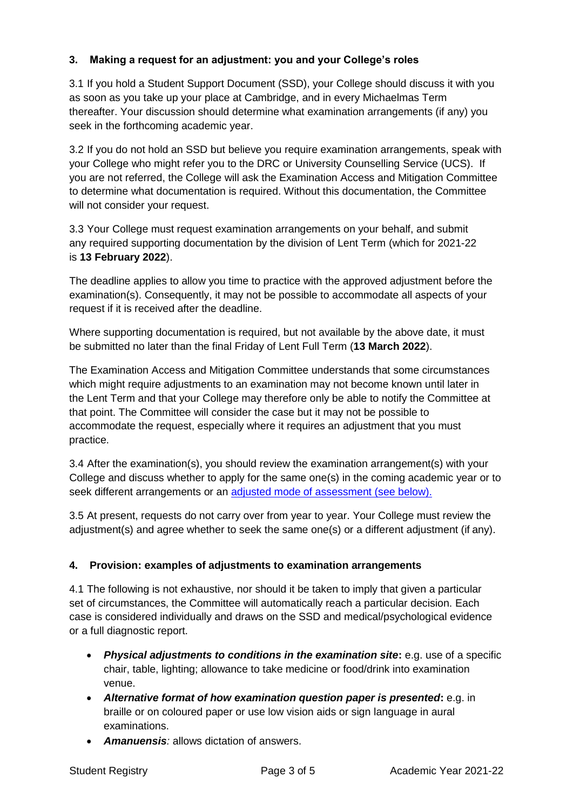## **3. Making a request for an adjustment: you and your College's roles**

3.1 If you hold a Student Support Document (SSD), your College should discuss it with you as soon as you take up your place at Cambridge, and in every Michaelmas Term thereafter. Your discussion should determine what examination arrangements (if any) you seek in the forthcoming academic year.

3.2 If you do not hold an SSD but believe you require examination arrangements, speak with your College who might refer you to the DRC or University Counselling Service (UCS). If you are not referred, the College will ask the Examination Access and Mitigation Committee to determine what documentation is required. Without this documentation, the Committee will not consider your request.

3.3 Your College must request examination arrangements on your behalf, and submit any required supporting documentation by the division of Lent Term (which for 2021-22 is **13 February 2022**).

The deadline applies to allow you time to practice with the approved adjustment before the examination(s). Consequently, it may not be possible to accommodate all aspects of your request if it is received after the deadline.

Where supporting documentation is required, but not available by the above date, it must be submitted no later than the final Friday of Lent Full Term (**13 March 2022**).

The Examination Access and Mitigation Committee understands that some circumstances which might require adjustments to an examination may not become known until later in the Lent Term and that your College may therefore only be able to notify the Committee at that point. The Committee will consider the case but it may not be possible to accommodate the request, especially where it requires an adjustment that you must practice.

3.4 After the examination(s), you should review the examination arrangement(s) with your College and discuss whether to apply for the same one(s) in the coming academic year or to seek different arrangements or an adjusted mode of [assessment \(see below\).](https://www.student-registry.admin.cam.ac.uk/examinations-further-guidance-staff/colleges/examination-arrangements)

3.5 At present, requests do not carry over from year to year. Your College must review the adjustment(s) and agree whether to seek the same one(s) or a different adjustment (if any).

## **4. Provision: examples of adjustments to examination arrangements**

4.1 The following is not exhaustive, nor should it be taken to imply that given a particular set of circumstances, the Committee will automatically reach a particular decision. Each case is considered individually and draws on the SSD and medical/psychological evidence or a full diagnostic report.

- **Physical adjustments to conditions in the examination site:** e.g. use of a specific chair, table, lighting; allowance to take medicine or food/drink into examination venue.
- *Alternative format of how examination question paper is presented***:** e.g. in braille or on coloured paper or use low vision aids or sign language in aural examinations.
- *Amanuensis:* allows dictation of answers.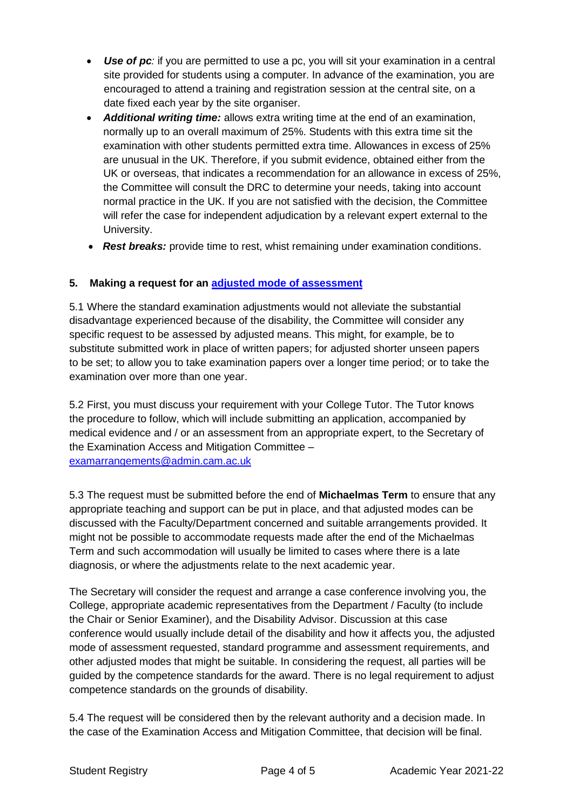- *Use of pc:* if you are permitted to use a pc, you will sit your examination in a central site provided for students using a computer. In advance of the examination, you are encouraged to attend a training and registration session at the central site, on a date fixed each year by the site organiser.
- *Additional writing time:* allows extra writing time at the end of an examination, normally up to an overall maximum of 25%. Students with this extra time sit the examination with other students permitted extra time. Allowances in excess of 25% are unusual in the UK. Therefore, if you submit evidence, obtained either from the UK or overseas, that indicates a recommendation for an allowance in excess of 25%, the Committee will consult the DRC to determine your needs, taking into account normal practice in the UK. If you are not satisfied with the decision, the Committee will refer the case for independent adjudication by a relevant expert external to the University.
- *Rest breaks:* provide time to rest, whist remaining under examination conditions.

# **5. Making a request for an adjusted mode of [assessment](https://www.student-registry.admin.cam.ac.uk/examinations-further-guidance-staff/colleges/examination-arrangements)**

5.1 Where the standard examination adjustments would not alleviate the substantial disadvantage experienced because of the disability, the Committee will consider any specific request to be assessed by adjusted means. This might, for example, be to substitute submitted work in place of written papers; for adjusted shorter unseen papers to be set; to allow you to take examination papers over a longer time period; or to take the examination over more than one year.

5.2 First, you must discuss your requirement with your College Tutor. The Tutor knows the procedure to follow, which will include submitting an application, accompanied by medical evidence and / or an assessment from an appropriate expert, to the Secretary of the Examination Access and Mitigation Committee – [examarrangements@admin.cam.ac.uk](mailto:examarrangements@admin.cam.ac.uk)

5.3 The request must be submitted before the end of **Michaelmas Term** to ensure that any appropriate teaching and support can be put in place, and that adjusted modes can be discussed with the Faculty/Department concerned and suitable arrangements provided. It might not be possible to accommodate requests made after the end of the Michaelmas Term and such accommodation will usually be limited to cases where there is a late diagnosis, or where the adjustments relate to the next academic year.

The Secretary will consider the request and arrange a case conference involving you, the College, appropriate academic representatives from the Department / Faculty (to include the Chair or Senior Examiner), and the Disability Advisor. Discussion at this case conference would usually include detail of the disability and how it affects you, the adjusted mode of assessment requested, standard programme and assessment requirements, and other adjusted modes that might be suitable. In considering the request, all parties will be guided by the competence standards for the award. There is no legal requirement to adjust competence standards on the grounds of disability.

5.4 The request will be considered then by the relevant authority and a decision made. In the case of the Examination Access and Mitigation Committee, that decision will be final.